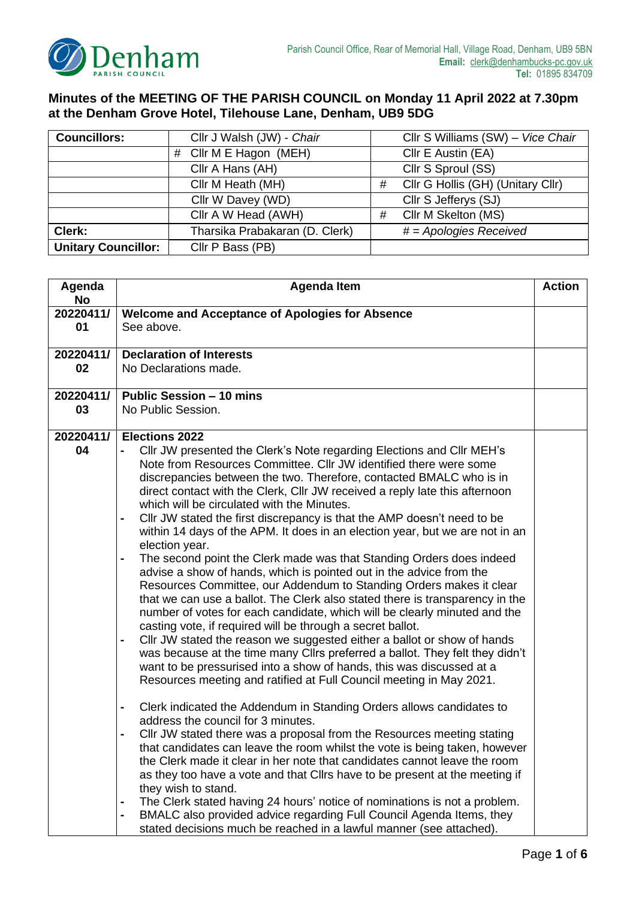

## **Minutes of the MEETING OF THE PARISH COUNCIL on Monday 11 April 2022 at 7.30pm at the Denham Grove Hotel, Tilehouse Lane, Denham, UB9 5DG**

| <b>Councillors:</b>        | Cllr J Walsh (JW) - Chair      |   | Cllr S Williams (SW) - Vice Chair |
|----------------------------|--------------------------------|---|-----------------------------------|
|                            | # Cllr M E Hagon (MEH)         |   | Cllr E Austin (EA)                |
|                            | Cllr A Hans (AH)               |   | Cllr S Sproul (SS)                |
|                            | Cllr M Heath (MH)              | # | Cllr G Hollis (GH) (Unitary Cllr) |
|                            | Cllr W Davey (WD)              |   | Cllr S Jefferys (SJ)              |
|                            | Cllr A W Head (AWH)            | # | Cllr M Skelton (MS)               |
| Clerk:                     | Tharsika Prabakaran (D. Clerk) |   | $# = Apologies$ Received          |
| <b>Unitary Councillor:</b> | Cllr P Bass (PB)               |   |                                   |

| Agenda          | <b>Agenda Item</b>                                                                                                                                           |  |
|-----------------|--------------------------------------------------------------------------------------------------------------------------------------------------------------|--|
| No<br>20220411/ | <b>Welcome and Acceptance of Apologies for Absence</b>                                                                                                       |  |
| 01              | See above.                                                                                                                                                   |  |
|                 |                                                                                                                                                              |  |
| 20220411/       | <b>Declaration of Interests</b>                                                                                                                              |  |
| 02              | No Declarations made.                                                                                                                                        |  |
|                 |                                                                                                                                                              |  |
| 20220411/       | <b>Public Session - 10 mins</b>                                                                                                                              |  |
| 03              | No Public Session.                                                                                                                                           |  |
|                 |                                                                                                                                                              |  |
| 20220411/       | <b>Elections 2022</b>                                                                                                                                        |  |
| 04              | CIIr JW presented the Clerk's Note regarding Elections and CIIr MEH's                                                                                        |  |
|                 | Note from Resources Committee. Cllr JW identified there were some                                                                                            |  |
|                 | discrepancies between the two. Therefore, contacted BMALC who is in                                                                                          |  |
|                 | direct contact with the Clerk, Cllr JW received a reply late this afternoon                                                                                  |  |
|                 | which will be circulated with the Minutes.                                                                                                                   |  |
|                 | Cllr JW stated the first discrepancy is that the AMP doesn't need to be<br>-                                                                                 |  |
|                 | within 14 days of the APM. It does in an election year, but we are not in an                                                                                 |  |
|                 | election year.                                                                                                                                               |  |
|                 | The second point the Clerk made was that Standing Orders does indeed<br>-                                                                                    |  |
|                 | advise a show of hands, which is pointed out in the advice from the                                                                                          |  |
|                 | Resources Committee, our Addendum to Standing Orders makes it clear                                                                                          |  |
|                 | that we can use a ballot. The Clerk also stated there is transparency in the                                                                                 |  |
|                 | number of votes for each candidate, which will be clearly minuted and the                                                                                    |  |
|                 | casting vote, if required will be through a secret ballot.                                                                                                   |  |
|                 | CIIr JW stated the reason we suggested either a ballot or show of hands<br>-<br>was because at the time many Cllrs preferred a ballot. They felt they didn't |  |
|                 | want to be pressurised into a show of hands, this was discussed at a                                                                                         |  |
|                 | Resources meeting and ratified at Full Council meeting in May 2021.                                                                                          |  |
|                 |                                                                                                                                                              |  |
|                 | Clerk indicated the Addendum in Standing Orders allows candidates to<br>-                                                                                    |  |
|                 | address the council for 3 minutes.                                                                                                                           |  |
|                 | CIIr JW stated there was a proposal from the Resources meeting stating                                                                                       |  |
|                 | that candidates can leave the room whilst the vote is being taken, however                                                                                   |  |
|                 | the Clerk made it clear in her note that candidates cannot leave the room                                                                                    |  |
|                 | as they too have a vote and that Cllrs have to be present at the meeting if                                                                                  |  |
|                 | they wish to stand.                                                                                                                                          |  |
|                 | The Clerk stated having 24 hours' notice of nominations is not a problem.<br>-                                                                               |  |
|                 | BMALC also provided advice regarding Full Council Agenda Items, they<br>۰                                                                                    |  |
|                 | stated decisions much be reached in a lawful manner (see attached).                                                                                          |  |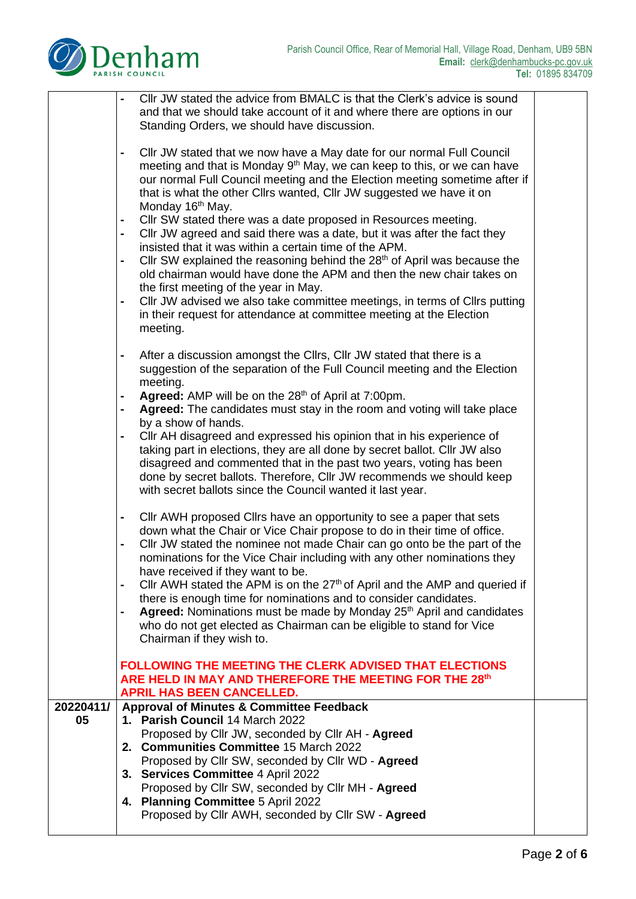

|           | Cllr JW stated the advice from BMALC is that the Clerk's advice is sound<br>and that we should take account of it and where there are options in our<br>Standing Orders, we should have discussion.<br>Cllr JW stated that we now have a May date for our normal Full Council<br>$\blacksquare$<br>meeting and that is Monday 9 <sup>th</sup> May, we can keep to this, or we can have                                                                                                                                                                                                                                                                                                                                                           |  |
|-----------|--------------------------------------------------------------------------------------------------------------------------------------------------------------------------------------------------------------------------------------------------------------------------------------------------------------------------------------------------------------------------------------------------------------------------------------------------------------------------------------------------------------------------------------------------------------------------------------------------------------------------------------------------------------------------------------------------------------------------------------------------|--|
|           | our normal Full Council meeting and the Election meeting sometime after if<br>that is what the other Cllrs wanted, Cllr JW suggested we have it on<br>Monday 16 <sup>th</sup> May.<br>Cllr SW stated there was a date proposed in Resources meeting.<br>$\blacksquare$                                                                                                                                                                                                                                                                                                                                                                                                                                                                           |  |
|           | Cllr JW agreed and said there was a date, but it was after the fact they<br>$\blacksquare$<br>insisted that it was within a certain time of the APM.<br>Cllr SW explained the reasoning behind the 28 <sup>th</sup> of April was because the<br>$\blacksquare$<br>old chairman would have done the APM and then the new chair takes on<br>the first meeting of the year in May.                                                                                                                                                                                                                                                                                                                                                                  |  |
|           | CIIr JW advised we also take committee meetings, in terms of CIIrs putting<br>$\blacksquare$<br>in their request for attendance at committee meeting at the Election<br>meeting.<br>After a discussion amongst the Cllrs, Cllr JW stated that there is a<br>$\blacksquare$                                                                                                                                                                                                                                                                                                                                                                                                                                                                       |  |
|           | suggestion of the separation of the Full Council meeting and the Election<br>meeting.<br>Agreed: AMP will be on the 28 <sup>th</sup> of April at 7:00pm.<br>$\blacksquare$<br>Agreed: The candidates must stay in the room and voting will take place<br>$\blacksquare$                                                                                                                                                                                                                                                                                                                                                                                                                                                                          |  |
|           | by a show of hands.<br>CIIr AH disagreed and expressed his opinion that in his experience of<br>taking part in elections, they are all done by secret ballot. Cllr JW also<br>disagreed and commented that in the past two years, voting has been<br>done by secret ballots. Therefore, Cllr JW recommends we should keep<br>with secret ballots since the Council wanted it last year.                                                                                                                                                                                                                                                                                                                                                          |  |
|           | Cllr AWH proposed Cllrs have an opportunity to see a paper that sets<br>$\blacksquare$<br>down what the Chair or Vice Chair propose to do in their time of office.<br>Cllr JW stated the nominee not made Chair can go onto be the part of the<br>$\blacksquare$<br>nominations for the Vice Chair including with any other nominations they<br>have received if they want to be.<br>Cllr AWH stated the APM is on the $27th$ of April and the AMP and queried if<br>there is enough time for nominations and to consider candidates.<br>Agreed: Nominations must be made by Monday 25 <sup>th</sup> April and candidates<br>$\blacksquare$<br>who do not get elected as Chairman can be eligible to stand for Vice<br>Chairman if they wish to. |  |
|           | <b>FOLLOWING THE MEETING THE CLERK ADVISED THAT ELECTIONS</b><br>ARE HELD IN MAY AND THEREFORE THE MEETING FOR THE 28th<br><b>APRIL HAS BEEN CANCELLED.</b>                                                                                                                                                                                                                                                                                                                                                                                                                                                                                                                                                                                      |  |
| 20220411/ | <b>Approval of Minutes &amp; Committee Feedback</b>                                                                                                                                                                                                                                                                                                                                                                                                                                                                                                                                                                                                                                                                                              |  |
| 05        | 1. Parish Council 14 March 2022                                                                                                                                                                                                                                                                                                                                                                                                                                                                                                                                                                                                                                                                                                                  |  |
|           | Proposed by Cllr JW, seconded by Cllr AH - Agreed                                                                                                                                                                                                                                                                                                                                                                                                                                                                                                                                                                                                                                                                                                |  |
|           | 2. Communities Committee 15 March 2022                                                                                                                                                                                                                                                                                                                                                                                                                                                                                                                                                                                                                                                                                                           |  |
|           | Proposed by Cllr SW, seconded by Cllr WD - Agreed<br>3. Services Committee 4 April 2022                                                                                                                                                                                                                                                                                                                                                                                                                                                                                                                                                                                                                                                          |  |
|           | Proposed by Cllr SW, seconded by Cllr MH - Agreed                                                                                                                                                                                                                                                                                                                                                                                                                                                                                                                                                                                                                                                                                                |  |
|           | 4. Planning Committee 5 April 2022<br>Proposed by Cllr AWH, seconded by Cllr SW - Agreed                                                                                                                                                                                                                                                                                                                                                                                                                                                                                                                                                                                                                                                         |  |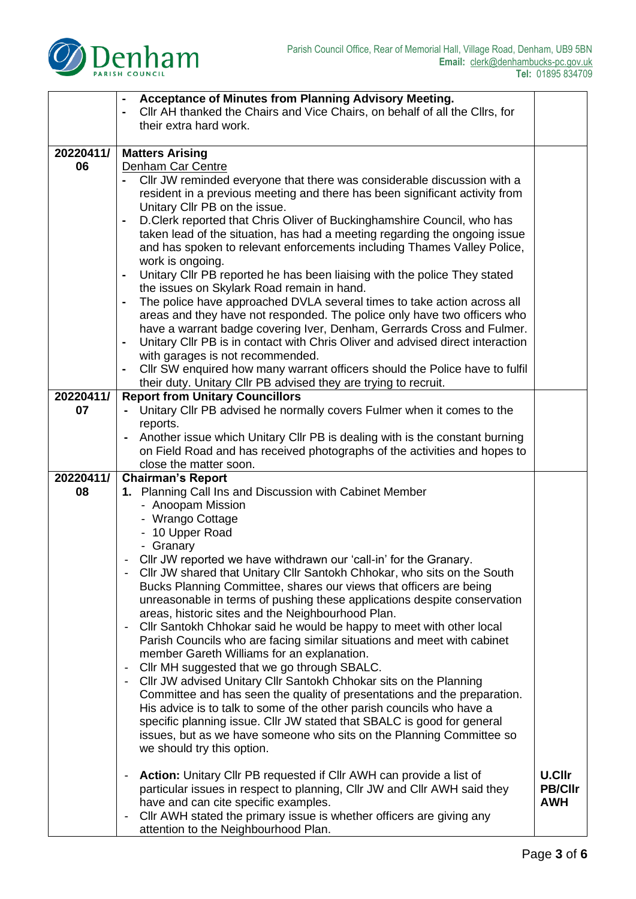

|           | Acceptance of Minutes from Planning Advisory Meeting.                                            |                |
|-----------|--------------------------------------------------------------------------------------------------|----------------|
|           | CIIr AH thanked the Chairs and Vice Chairs, on behalf of all the CIIrs, for<br>$\blacksquare$    |                |
|           | their extra hard work.                                                                           |                |
|           |                                                                                                  |                |
| 20220411/ | <b>Matters Arising</b>                                                                           |                |
| 06        | Denham Car Centre                                                                                |                |
|           | CIIr JW reminded everyone that there was considerable discussion with a                          |                |
|           |                                                                                                  |                |
|           | resident in a previous meeting and there has been significant activity from                      |                |
|           | Unitary Cllr PB on the issue.                                                                    |                |
|           | D. Clerk reported that Chris Oliver of Buckinghamshire Council, who has<br>$\blacksquare$        |                |
|           | taken lead of the situation, has had a meeting regarding the ongoing issue                       |                |
|           | and has spoken to relevant enforcements including Thames Valley Police,                          |                |
|           | work is ongoing.                                                                                 |                |
|           | Unitary Cllr PB reported he has been liaising with the police They stated                        |                |
|           | the issues on Skylark Road remain in hand.                                                       |                |
|           | The police have approached DVLA several times to take action across all<br>$\blacksquare$        |                |
|           | areas and they have not responded. The police only have two officers who                         |                |
|           | have a warrant badge covering Iver, Denham, Gerrards Cross and Fulmer.                           |                |
|           | Unitary CIIr PB is in contact with Chris Oliver and advised direct interaction<br>$\blacksquare$ |                |
|           |                                                                                                  |                |
|           | with garages is not recommended.                                                                 |                |
|           | CIIr SW enquired how many warrant officers should the Police have to fulfil                      |                |
|           | their duty. Unitary Cllr PB advised they are trying to recruit.                                  |                |
| 20220411/ | <b>Report from Unitary Councillors</b>                                                           |                |
| 07        | Unitary Cllr PB advised he normally covers Fulmer when it comes to the                           |                |
|           | reports.                                                                                         |                |
|           | Another issue which Unitary Cllr PB is dealing with is the constant burning                      |                |
|           | on Field Road and has received photographs of the activities and hopes to                        |                |
|           | close the matter soon.                                                                           |                |
| 20220411/ | <b>Chairman's Report</b>                                                                         |                |
| 08        | 1. Planning Call Ins and Discussion with Cabinet Member                                          |                |
|           | - Anoopam Mission                                                                                |                |
|           | - Wrango Cottage                                                                                 |                |
|           |                                                                                                  |                |
|           | - 10 Upper Road                                                                                  |                |
|           | - Granary                                                                                        |                |
|           | Cllr JW reported we have withdrawn our 'call-in' for the Granary.                                |                |
|           | Cllr JW shared that Unitary Cllr Santokh Chhokar, who sits on the South                          |                |
|           | Bucks Planning Committee, shares our views that officers are being                               |                |
|           | unreasonable in terms of pushing these applications despite conservation                         |                |
|           | areas, historic sites and the Neighbourhood Plan.                                                |                |
|           | Cllr Santokh Chhokar said he would be happy to meet with other local                             |                |
|           | Parish Councils who are facing similar situations and meet with cabinet                          |                |
|           | member Gareth Williams for an explanation.                                                       |                |
|           | Cllr MH suggested that we go through SBALC.<br>$\overline{\phantom{a}}$                          |                |
|           | Cllr JW advised Unitary Cllr Santokh Chhokar sits on the Planning<br>$\overline{\phantom{a}}$    |                |
|           | Committee and has seen the quality of presentations and the preparation.                         |                |
|           | His advice is to talk to some of the other parish councils who have a                            |                |
|           |                                                                                                  |                |
|           | specific planning issue. Cllr JW stated that SBALC is good for general                           |                |
|           | issues, but as we have someone who sits on the Planning Committee so                             |                |
|           | we should try this option.                                                                       |                |
|           |                                                                                                  |                |
|           | <b>Action:</b> Unitary Cllr PB requested if Cllr AWH can provide a list of                       | <b>U.Cllr</b>  |
|           | particular issues in respect to planning, Cllr JW and Cllr AWH said they                         | <b>PB/Cllr</b> |
|           | have and can cite specific examples.                                                             | <b>AWH</b>     |
|           | CIIr AWH stated the primary issue is whether officers are giving any<br>$\overline{\phantom{a}}$ |                |
|           | attention to the Neighbourhood Plan.                                                             |                |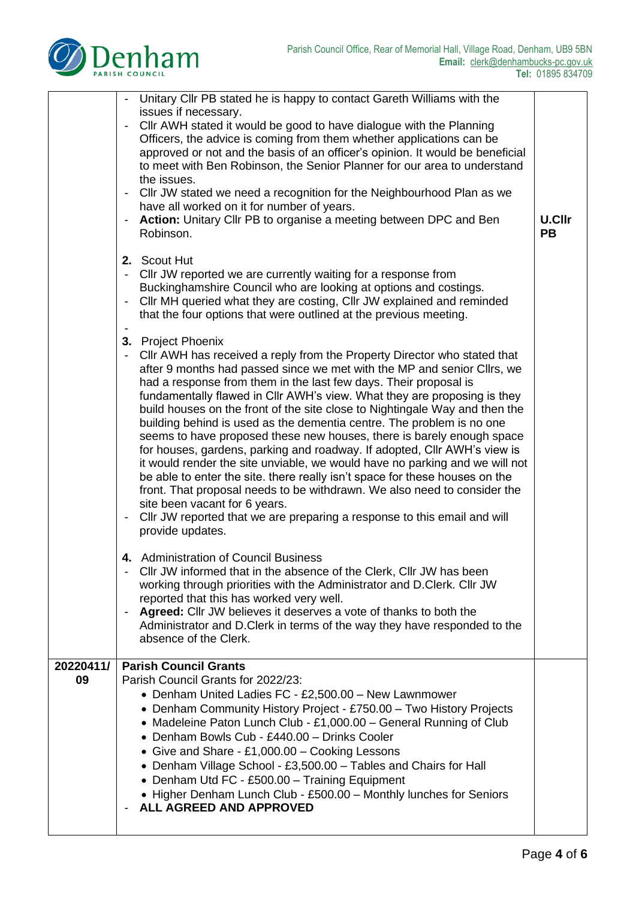

|                 | Unitary Cllr PB stated he is happy to contact Gareth Williams with the<br>issues if necessary.                                                                                                                                                                                                                                                                                                                                                                                                                                                                                                                                                                                                                                                                                                                                                                                                                                                                                                                    |                            |
|-----------------|-------------------------------------------------------------------------------------------------------------------------------------------------------------------------------------------------------------------------------------------------------------------------------------------------------------------------------------------------------------------------------------------------------------------------------------------------------------------------------------------------------------------------------------------------------------------------------------------------------------------------------------------------------------------------------------------------------------------------------------------------------------------------------------------------------------------------------------------------------------------------------------------------------------------------------------------------------------------------------------------------------------------|----------------------------|
|                 | Cllr AWH stated it would be good to have dialogue with the Planning<br>Officers, the advice is coming from them whether applications can be<br>approved or not and the basis of an officer's opinion. It would be beneficial<br>to meet with Ben Robinson, the Senior Planner for our area to understand<br>the issues.                                                                                                                                                                                                                                                                                                                                                                                                                                                                                                                                                                                                                                                                                           |                            |
|                 | Cllr JW stated we need a recognition for the Neighbourhood Plan as we<br>have all worked on it for number of years.                                                                                                                                                                                                                                                                                                                                                                                                                                                                                                                                                                                                                                                                                                                                                                                                                                                                                               |                            |
|                 | Action: Unitary Cllr PB to organise a meeting between DPC and Ben<br>Robinson.                                                                                                                                                                                                                                                                                                                                                                                                                                                                                                                                                                                                                                                                                                                                                                                                                                                                                                                                    | <b>U.Cllr</b><br><b>PB</b> |
|                 | 2. Scout Hut<br>Cllr JW reported we are currently waiting for a response from<br>$\overline{\phantom{a}}$<br>Buckinghamshire Council who are looking at options and costings.<br>Cllr MH queried what they are costing, Cllr JW explained and reminded<br>that the four options that were outlined at the previous meeting.                                                                                                                                                                                                                                                                                                                                                                                                                                                                                                                                                                                                                                                                                       |                            |
|                 | 3. Project Phoenix<br>Cllr AWH has received a reply from the Property Director who stated that<br>after 9 months had passed since we met with the MP and senior Cllrs, we<br>had a response from them in the last few days. Their proposal is<br>fundamentally flawed in Cllr AWH's view. What they are proposing is they<br>build houses on the front of the site close to Nightingale Way and then the<br>building behind is used as the dementia centre. The problem is no one<br>seems to have proposed these new houses, there is barely enough space<br>for houses, gardens, parking and roadway. If adopted, Cllr AWH's view is<br>it would render the site unviable, we would have no parking and we will not<br>be able to enter the site. there really isn't space for these houses on the<br>front. That proposal needs to be withdrawn. We also need to consider the<br>site been vacant for 6 years.<br>Cllr JW reported that we are preparing a response to this email and will<br>provide updates. |                            |
|                 | 4. Administration of Council Business<br>Cllr JW informed that in the absence of the Clerk, Cllr JW has been<br>working through priorities with the Administrator and D.Clerk. Cllr JW<br>reported that this has worked very well.<br>Agreed: Cllr JW believes it deserves a vote of thanks to both the<br>Administrator and D. Clerk in terms of the way they have responded to the<br>absence of the Clerk.                                                                                                                                                                                                                                                                                                                                                                                                                                                                                                                                                                                                     |                            |
| 20220411/<br>09 | <b>Parish Council Grants</b><br>Parish Council Grants for 2022/23:<br>• Denham United Ladies FC - £2,500.00 - New Lawnmower<br>• Denham Community History Project - £750.00 - Two History Projects<br>• Madeleine Paton Lunch Club - £1,000.00 - General Running of Club<br>• Denham Bowls Cub - £440.00 - Drinks Cooler<br>• Give and Share - £1,000.00 - Cooking Lessons<br>• Denham Village School - £3,500.00 - Tables and Chairs for Hall<br>• Denham Utd FC - £500.00 - Training Equipment<br>• Higher Denham Lunch Club - £500.00 - Monthly lunches for Seniors<br><b>ALL AGREED AND APPROVED</b>                                                                                                                                                                                                                                                                                                                                                                                                          |                            |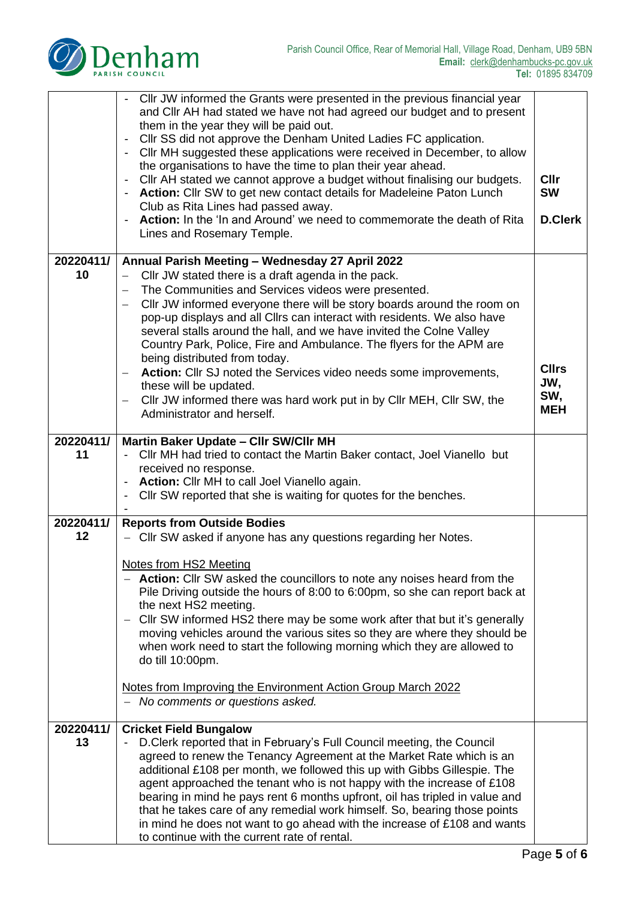

|                 | Cllr JW informed the Grants were presented in the previous financial year<br>and Cllr AH had stated we have not had agreed our budget and to present<br>them in the year they will be paid out.<br>Cllr SS did not approve the Denham United Ladies FC application.<br>CIIr MH suggested these applications were received in December, to allow<br>the organisations to have the time to plan their year ahead.<br>Cllr AH stated we cannot approve a budget without finalising our budgets.<br>Action: Cllr SW to get new contact details for Madeleine Paton Lunch<br>Club as Rita Lines had passed away.<br>Action: In the 'In and Around' we need to commemorate the death of Rita<br>Lines and Rosemary Temple. | <b>Cllr</b><br><b>SW</b><br><b>D.Clerk</b> |
|-----------------|----------------------------------------------------------------------------------------------------------------------------------------------------------------------------------------------------------------------------------------------------------------------------------------------------------------------------------------------------------------------------------------------------------------------------------------------------------------------------------------------------------------------------------------------------------------------------------------------------------------------------------------------------------------------------------------------------------------------|--------------------------------------------|
| 20220411/       | Annual Parish Meeting - Wednesday 27 April 2022                                                                                                                                                                                                                                                                                                                                                                                                                                                                                                                                                                                                                                                                      |                                            |
| 10              | Cllr JW stated there is a draft agenda in the pack.                                                                                                                                                                                                                                                                                                                                                                                                                                                                                                                                                                                                                                                                  |                                            |
|                 | The Communities and Services videos were presented.                                                                                                                                                                                                                                                                                                                                                                                                                                                                                                                                                                                                                                                                  |                                            |
|                 | Cllr JW informed everyone there will be story boards around the room on<br>$\overline{\phantom{m}}$<br>pop-up displays and all Cllrs can interact with residents. We also have                                                                                                                                                                                                                                                                                                                                                                                                                                                                                                                                       |                                            |
|                 | several stalls around the hall, and we have invited the Colne Valley                                                                                                                                                                                                                                                                                                                                                                                                                                                                                                                                                                                                                                                 |                                            |
|                 | Country Park, Police, Fire and Ambulance. The flyers for the APM are                                                                                                                                                                                                                                                                                                                                                                                                                                                                                                                                                                                                                                                 |                                            |
|                 | being distributed from today.                                                                                                                                                                                                                                                                                                                                                                                                                                                                                                                                                                                                                                                                                        | <b>Cllrs</b>                               |
|                 | Action: Cllr SJ noted the Services video needs some improvements,<br>these will be updated.                                                                                                                                                                                                                                                                                                                                                                                                                                                                                                                                                                                                                          | JW,                                        |
|                 | Cllr JW informed there was hard work put in by Cllr MEH, Cllr SW, the<br>$\overline{\phantom{m}}$                                                                                                                                                                                                                                                                                                                                                                                                                                                                                                                                                                                                                    | SW,                                        |
|                 | Administrator and herself.                                                                                                                                                                                                                                                                                                                                                                                                                                                                                                                                                                                                                                                                                           | <b>MEH</b>                                 |
|                 |                                                                                                                                                                                                                                                                                                                                                                                                                                                                                                                                                                                                                                                                                                                      |                                            |
| 20220411/<br>11 | Martin Baker Update - Cllr SW/Cllr MH<br>Cllr MH had tried to contact the Martin Baker contact, Joel Vianello but                                                                                                                                                                                                                                                                                                                                                                                                                                                                                                                                                                                                    |                                            |
|                 | received no response.                                                                                                                                                                                                                                                                                                                                                                                                                                                                                                                                                                                                                                                                                                |                                            |
|                 | <b>Action:</b> Cllr MH to call Joel Vianello again.                                                                                                                                                                                                                                                                                                                                                                                                                                                                                                                                                                                                                                                                  |                                            |
|                 |                                                                                                                                                                                                                                                                                                                                                                                                                                                                                                                                                                                                                                                                                                                      |                                            |
|                 | Cllr SW reported that she is waiting for quotes for the benches.                                                                                                                                                                                                                                                                                                                                                                                                                                                                                                                                                                                                                                                     |                                            |
|                 |                                                                                                                                                                                                                                                                                                                                                                                                                                                                                                                                                                                                                                                                                                                      |                                            |
| 20220411/<br>12 | <b>Reports from Outside Bodies</b><br>- Cllr SW asked if anyone has any questions regarding her Notes.                                                                                                                                                                                                                                                                                                                                                                                                                                                                                                                                                                                                               |                                            |
|                 |                                                                                                                                                                                                                                                                                                                                                                                                                                                                                                                                                                                                                                                                                                                      |                                            |
|                 | Notes from HS2 Meeting                                                                                                                                                                                                                                                                                                                                                                                                                                                                                                                                                                                                                                                                                               |                                            |
|                 | - Action: Cllr SW asked the councillors to note any noises heard from the                                                                                                                                                                                                                                                                                                                                                                                                                                                                                                                                                                                                                                            |                                            |
|                 | Pile Driving outside the hours of 8:00 to 6:00pm, so she can report back at<br>the next HS2 meeting.                                                                                                                                                                                                                                                                                                                                                                                                                                                                                                                                                                                                                 |                                            |
|                 | CIIr SW informed HS2 there may be some work after that but it's generally<br>$\overline{\phantom{m}}$                                                                                                                                                                                                                                                                                                                                                                                                                                                                                                                                                                                                                |                                            |
|                 | moving vehicles around the various sites so they are where they should be                                                                                                                                                                                                                                                                                                                                                                                                                                                                                                                                                                                                                                            |                                            |
|                 | when work need to start the following morning which they are allowed to<br>do till 10:00pm.                                                                                                                                                                                                                                                                                                                                                                                                                                                                                                                                                                                                                          |                                            |
|                 |                                                                                                                                                                                                                                                                                                                                                                                                                                                                                                                                                                                                                                                                                                                      |                                            |
|                 | Notes from Improving the Environment Action Group March 2022                                                                                                                                                                                                                                                                                                                                                                                                                                                                                                                                                                                                                                                         |                                            |
|                 | - No comments or questions asked.                                                                                                                                                                                                                                                                                                                                                                                                                                                                                                                                                                                                                                                                                    |                                            |
| 20220411/       | <b>Cricket Field Bungalow</b>                                                                                                                                                                                                                                                                                                                                                                                                                                                                                                                                                                                                                                                                                        |                                            |
| 13              | D. Clerk reported that in February's Full Council meeting, the Council                                                                                                                                                                                                                                                                                                                                                                                                                                                                                                                                                                                                                                               |                                            |
|                 | agreed to renew the Tenancy Agreement at the Market Rate which is an                                                                                                                                                                                                                                                                                                                                                                                                                                                                                                                                                                                                                                                 |                                            |
|                 | additional £108 per month, we followed this up with Gibbs Gillespie. The                                                                                                                                                                                                                                                                                                                                                                                                                                                                                                                                                                                                                                             |                                            |
|                 | agent approached the tenant who is not happy with the increase of £108<br>bearing in mind he pays rent 6 months upfront, oil has tripled in value and                                                                                                                                                                                                                                                                                                                                                                                                                                                                                                                                                                |                                            |
|                 | that he takes care of any remedial work himself. So, bearing those points                                                                                                                                                                                                                                                                                                                                                                                                                                                                                                                                                                                                                                            |                                            |
|                 | in mind he does not want to go ahead with the increase of £108 and wants                                                                                                                                                                                                                                                                                                                                                                                                                                                                                                                                                                                                                                             |                                            |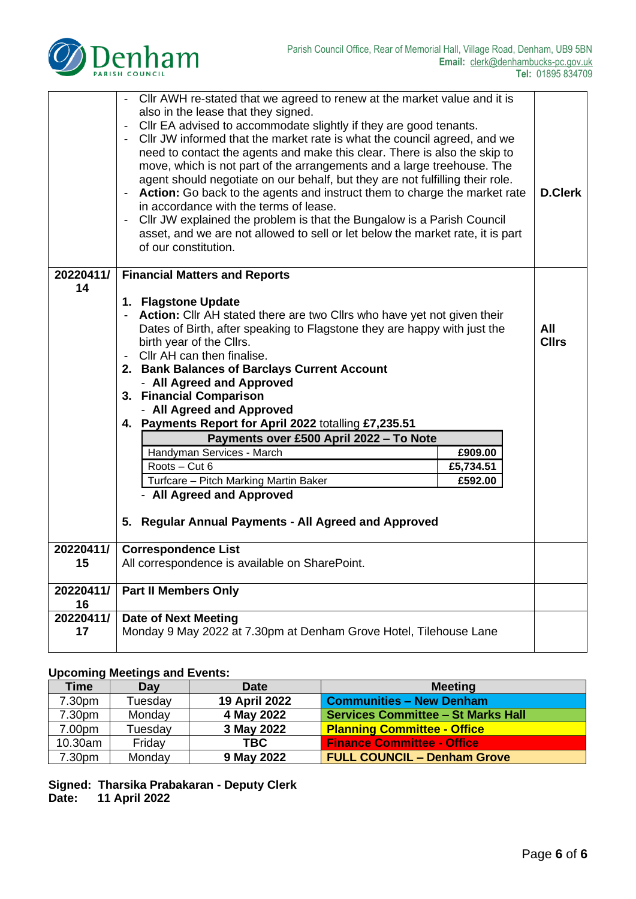

|           | Cllr AWH re-stated that we agreed to renew at the market value and it is<br>$\qquad \qquad \blacksquare$<br>also in the lease that they signed.<br>Cllr EA advised to accommodate slightly if they are good tenants.<br>$\overline{\phantom{a}}$<br>Cllr JW informed that the market rate is what the council agreed, and we<br>$\overline{\phantom{a}}$<br>need to contact the agents and make this clear. There is also the skip to<br>move, which is not part of the arrangements and a large treehouse. The<br>agent should negotiate on our behalf, but they are not fulfilling their role.<br>Action: Go back to the agents and instruct them to charge the market rate<br><b>D.Clerk</b><br>in accordance with the terms of lease.<br>Cllr JW explained the problem is that the Bungalow is a Parish Council<br>asset, and we are not allowed to sell or let below the market rate, it is part<br>of our constitution. |              |  |  |
|-----------|-------------------------------------------------------------------------------------------------------------------------------------------------------------------------------------------------------------------------------------------------------------------------------------------------------------------------------------------------------------------------------------------------------------------------------------------------------------------------------------------------------------------------------------------------------------------------------------------------------------------------------------------------------------------------------------------------------------------------------------------------------------------------------------------------------------------------------------------------------------------------------------------------------------------------------|--------------|--|--|
| 20220411/ | <b>Financial Matters and Reports</b>                                                                                                                                                                                                                                                                                                                                                                                                                                                                                                                                                                                                                                                                                                                                                                                                                                                                                          |              |  |  |
| 14        |                                                                                                                                                                                                                                                                                                                                                                                                                                                                                                                                                                                                                                                                                                                                                                                                                                                                                                                               |              |  |  |
|           | 1. Flagstone Update                                                                                                                                                                                                                                                                                                                                                                                                                                                                                                                                                                                                                                                                                                                                                                                                                                                                                                           |              |  |  |
|           | <b>Action:</b> Cllr AH stated there are two Cllrs who have yet not given their                                                                                                                                                                                                                                                                                                                                                                                                                                                                                                                                                                                                                                                                                                                                                                                                                                                | All          |  |  |
|           | Dates of Birth, after speaking to Flagstone they are happy with just the<br>birth year of the Cllrs.                                                                                                                                                                                                                                                                                                                                                                                                                                                                                                                                                                                                                                                                                                                                                                                                                          | <b>Cllrs</b> |  |  |
|           | Cllr AH can then finalise.<br>$\overline{\phantom{a}}$                                                                                                                                                                                                                                                                                                                                                                                                                                                                                                                                                                                                                                                                                                                                                                                                                                                                        |              |  |  |
|           | 2. Bank Balances of Barclays Current Account                                                                                                                                                                                                                                                                                                                                                                                                                                                                                                                                                                                                                                                                                                                                                                                                                                                                                  |              |  |  |
|           | - All Agreed and Approved                                                                                                                                                                                                                                                                                                                                                                                                                                                                                                                                                                                                                                                                                                                                                                                                                                                                                                     |              |  |  |
|           | 3. Financial Comparison                                                                                                                                                                                                                                                                                                                                                                                                                                                                                                                                                                                                                                                                                                                                                                                                                                                                                                       |              |  |  |
|           | - All Agreed and Approved                                                                                                                                                                                                                                                                                                                                                                                                                                                                                                                                                                                                                                                                                                                                                                                                                                                                                                     |              |  |  |
|           | 4. Payments Report for April 2022 totalling £7,235.51                                                                                                                                                                                                                                                                                                                                                                                                                                                                                                                                                                                                                                                                                                                                                                                                                                                                         |              |  |  |
|           | Payments over £500 April 2022 - To Note                                                                                                                                                                                                                                                                                                                                                                                                                                                                                                                                                                                                                                                                                                                                                                                                                                                                                       |              |  |  |
|           | Handyman Services - March<br>£909.00                                                                                                                                                                                                                                                                                                                                                                                                                                                                                                                                                                                                                                                                                                                                                                                                                                                                                          |              |  |  |
|           | Roots - Cut 6<br>£5,734.51                                                                                                                                                                                                                                                                                                                                                                                                                                                                                                                                                                                                                                                                                                                                                                                                                                                                                                    |              |  |  |
|           | Turfcare - Pitch Marking Martin Baker<br>£592.00                                                                                                                                                                                                                                                                                                                                                                                                                                                                                                                                                                                                                                                                                                                                                                                                                                                                              |              |  |  |
|           | - All Agreed and Approved                                                                                                                                                                                                                                                                                                                                                                                                                                                                                                                                                                                                                                                                                                                                                                                                                                                                                                     |              |  |  |
|           | 5. Regular Annual Payments - All Agreed and Approved                                                                                                                                                                                                                                                                                                                                                                                                                                                                                                                                                                                                                                                                                                                                                                                                                                                                          |              |  |  |
|           |                                                                                                                                                                                                                                                                                                                                                                                                                                                                                                                                                                                                                                                                                                                                                                                                                                                                                                                               |              |  |  |
| 20220411/ | <b>Correspondence List</b>                                                                                                                                                                                                                                                                                                                                                                                                                                                                                                                                                                                                                                                                                                                                                                                                                                                                                                    |              |  |  |
| 15        | All correspondence is available on SharePoint.                                                                                                                                                                                                                                                                                                                                                                                                                                                                                                                                                                                                                                                                                                                                                                                                                                                                                |              |  |  |
| 20220411/ | <b>Part II Members Only</b>                                                                                                                                                                                                                                                                                                                                                                                                                                                                                                                                                                                                                                                                                                                                                                                                                                                                                                   |              |  |  |
| 16        |                                                                                                                                                                                                                                                                                                                                                                                                                                                                                                                                                                                                                                                                                                                                                                                                                                                                                                                               |              |  |  |
| 20220411/ | <b>Date of Next Meeting</b>                                                                                                                                                                                                                                                                                                                                                                                                                                                                                                                                                                                                                                                                                                                                                                                                                                                                                                   |              |  |  |
| 17        | Monday 9 May 2022 at 7.30pm at Denham Grove Hotel, Tilehouse Lane                                                                                                                                                                                                                                                                                                                                                                                                                                                                                                                                                                                                                                                                                                                                                                                                                                                             |              |  |  |
|           |                                                                                                                                                                                                                                                                                                                                                                                                                                                                                                                                                                                                                                                                                                                                                                                                                                                                                                                               |              |  |  |

## **Upcoming Meetings and Events:**

| <b>Time</b> | Day     | <b>Date</b>   | <b>Meeting</b>                            |
|-------------|---------|---------------|-------------------------------------------|
| 7.30pm      | Tuesday | 19 April 2022 | <b>Communities - New Denham</b>           |
| 7.30pm      | Monday  | 4 May 2022    | <b>Services Committee - St Marks Hall</b> |
| 7.00pm      | Tuesday | 3 May 2022    | <b>Planning Committee - Office</b>        |
| 10.30am     | Friday  | <b>TBC</b>    | <b>Finance Committee - Office</b>         |
| 7.30pm      | Monday  | 9 May 2022    | <b>FULL COUNCIL - Denham Grove</b>        |

**Signed: Tharsika Prabakaran - Deputy Clerk Date: 11 April 2022**